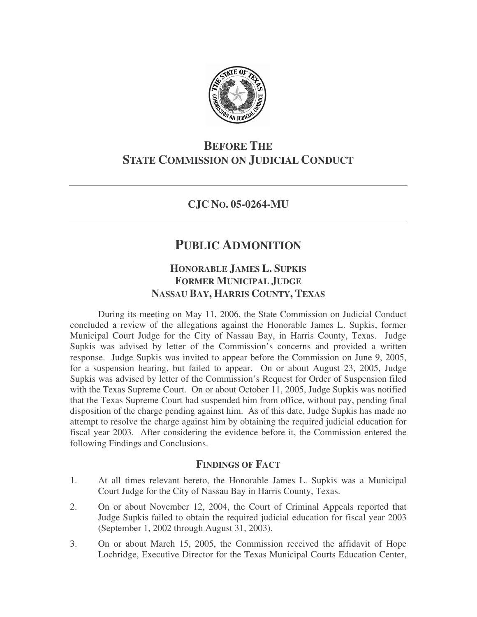

# **BEFORE THE STATE COMMISSION ON JUDICIAL CONDUCT**

### **CJC NO. 05-0264-MU**

# **PUBLIC ADMONITION**

## **HONORABLE JAMES L. SUPKIS FORMER MUNICIPAL JUDGE NASSAU BAY, HARRIS COUNTY, TEXAS**

During its meeting on May 11, 2006, the State Commission on Judicial Conduct concluded a review of the allegations against the Honorable James L. Supkis, former Municipal Court Judge for the City of Nassau Bay, in Harris County, Texas. Judge Supkis was advised by letter of the Commission's concerns and provided a written response. Judge Supkis was invited to appear before the Commission on June 9, 2005, for a suspension hearing, but failed to appear. On or about August 23, 2005, Judge Supkis was advised by letter of the Commission's Request for Order of Suspension filed with the Texas Supreme Court. On or about October 11, 2005, Judge Supkis was notified that the Texas Supreme Court had suspended him from office, without pay, pending final disposition of the charge pending against him. As of this date, Judge Supkis has made no attempt to resolve the charge against him by obtaining the required judicial education for fiscal year 2003. After considering the evidence before it, the Commission entered the following Findings and Conclusions.

### **FINDINGS OF FACT**

- 1. At all times relevant hereto, the Honorable James L. Supkis was a Municipal Court Judge for the City of Nassau Bay in Harris County, Texas.
- 2. On or about November 12, 2004, the Court of Criminal Appeals reported that Judge Supkis failed to obtain the required judicial education for fiscal year 2003 (September 1, 2002 through August 31, 2003).
- 3. On or about March 15, 2005, the Commission received the affidavit of Hope Lochridge, Executive Director for the Texas Municipal Courts Education Center,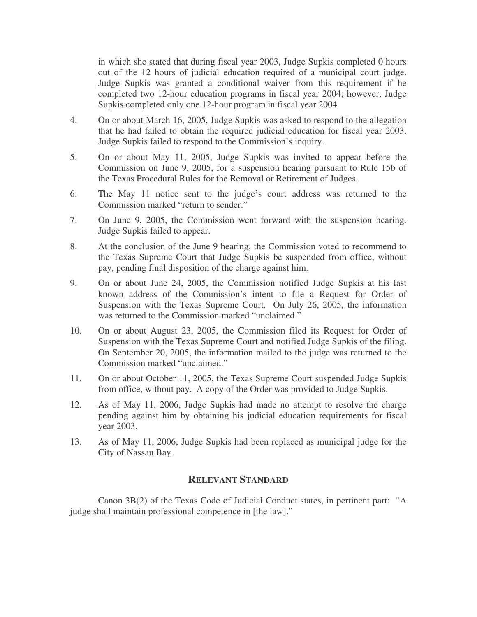in which she stated that during fiscal year 2003, Judge Supkis completed 0 hours out of the 12 hours of judicial education required of a municipal court judge. Judge Supkis was granted a conditional waiver from this requirement if he completed two 12-hour education programs in fiscal year 2004; however, Judge Supkis completed only one 12-hour program in fiscal year 2004.

- 4. On or about March 16, 2005, Judge Supkis was asked to respond to the allegation that he had failed to obtain the required judicial education for fiscal year 2003. Judge Supkis failed to respond to the Commission's inquiry.
- 5. On or about May 11, 2005, Judge Supkis was invited to appear before the Commission on June 9, 2005, for a suspension hearing pursuant to Rule 15b of the Texas Procedural Rules for the Removal or Retirement of Judges.
- 6. The May 11 notice sent to the judge's court address was returned to the Commission marked "return to sender."
- 7. On June 9, 2005, the Commission went forward with the suspension hearing. Judge Supkis failed to appear.
- 8. At the conclusion of the June 9 hearing, the Commission voted to recommend to the Texas Supreme Court that Judge Supkis be suspended from office, without pay, pending final disposition of the charge against him.
- 9. On or about June 24, 2005, the Commission notified Judge Supkis at his last known address of the Commission's intent to file a Request for Order of Suspension with the Texas Supreme Court. On July 26, 2005, the information was returned to the Commission marked "unclaimed."
- 10. On or about August 23, 2005, the Commission filed its Request for Order of Suspension with the Texas Supreme Court and notified Judge Supkis of the filing. On September 20, 2005, the information mailed to the judge was returned to the Commission marked "unclaimed."
- 11. On or about October 11, 2005, the Texas Supreme Court suspended Judge Supkis from office, without pay. A copy of the Order was provided to Judge Supkis.
- 12. As of May 11, 2006, Judge Supkis had made no attempt to resolve the charge pending against him by obtaining his judicial education requirements for fiscal year 2003.
- 13. As of May 11, 2006, Judge Supkis had been replaced as municipal judge for the City of Nassau Bay.

### **RELEVANT STANDARD**

Canon 3B(2) of the Texas Code of Judicial Conduct states, in pertinent part: "A judge shall maintain professional competence in [the law]."